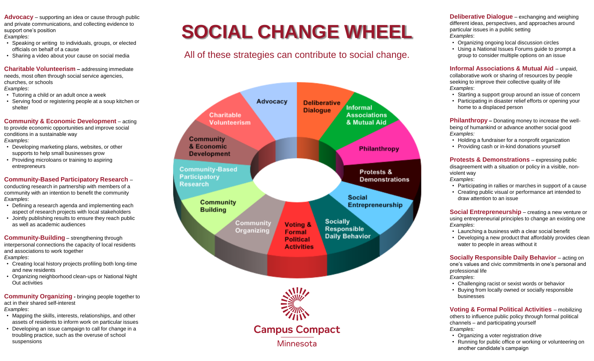**Advocacy** – supporting an idea or cause through public and private communications, and collecting evidence to support one's position *Examples:*

- Speaking or writing to individuals, groups, or elected officials on behalf of a cause
- Sharing a video about your cause on social media

**Charitable Volunteerism - addressing immediate** needs, most often through social service agencies, churches, or schools *Examples*:

- Tutoring a child or an adult once a week
- Serving food or registering people at a soup kitchen or shelter

**Community & Economic Development** – acting to provide economic opportunities and improve social conditions in a sustainable way *Examples:*

- Developing marketing plans, websites, or other supports to help small businesses grow
- Providing microloans or training to aspiring entrepreneurs

**Community-Based Participatory Research** –

conducting research in partnership with members of a community with an intention to benefit the community *Examples*:

- Defining a research agenda and implementing each aspect of research projects with local stakeholders
- Jointly publishing results to ensure they reach public as well as academic audiences

**Community-Building** – strengthening through interpersonal connections the capacity of local residents and associations to work together

*Examples*:

- Creating local history projects profiling both long-time and new residents
- Organizing neighborhood clean-ups or National Night Out activities

**Community Organizing -** bringing people together to act in their shared self-interest *Examples*:

- Mapping the skills, interests, relationships, and other assets of residents to inform work on particular issues
- Developing an issue campaign to call for change in a troubling practice, such as the overuse of school suspensions

# **SOCIAL CHANGE WHEEL**

All of these strategies can contribute to social change.



**Deliberative Dialogue** – exchanging and weighing different ideas, perspectives, and approaches around particular issues in a public setting *Examples*:

- Organizing ongoing local discussion circles
- Using a National Issues Forums guide to prompt a group to consider multiple options on an issue

**Informal Associations & Mutual Aid – unpaid.** collaborative work or sharing of resources by people seeking to improve their collective quality of life *Examples*:

- Starting a support group around an issue of concern
- Participating in disaster relief efforts or opening your home to a displaced person

**Philanthropy –** Donating money to increase the wellbeing of humankind or advance another social good *Examples:*

- Holding a fundraiser for a nonprofit organization
- Providing cash or in-kind donations yourself

**Protests & Demonstrations** – expressing public disagreement with a situation or policy in a visible, nonviolent way *Examples*:

- Participating in rallies or marches in support of a cause
- Creating public visual or performance art intended to draw attention to an issue

**Social Entrepreneurship** – creating a new venture or using entrepreneurial principles to change an existing one *Examples*:

- Launching a business with a clear social benefit
- Developing a new product that affordably provides clean water to people in areas without it

**Socially Responsible Daily Behavior - acting on** one's values and civic commitments in one's personal and professional life

- *Examples*:
- Challenging racist or sexist words or behavior
- Buying from locally owned or socially responsible businesses

**Voting & Formal Political Activities** – mobilizing others to influence public policy through formal political channels – and participating yourself *Examples:*

- Organizing a voter registration drive
- Running for public office or working or volunteering on another candidate's campaign